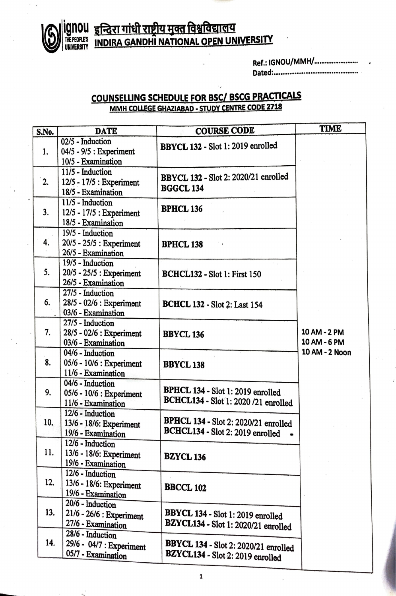

## ignou <u>इन्दिरा गांधी राष्ट्रीय मुक्त विश्वविद्यालय</u> THE PECPLE'S INDIRA GANDHI NATIONAL OPEN UNIVERSITY

| Ref.: IGNOU/MMH/ |  |
|------------------|--|
|                  |  |

## **COUNSELLING SCHEDULE FOR BSC/ BSCG PRACTICALS MMH COLLEGE GHAZIABAD. STUDY CENTRE CODE 2718**

| S.No.         | <b>DATE</b>              | <b>COURSE CODE</b>                                                        | TIME                         |  |
|---------------|--------------------------|---------------------------------------------------------------------------|------------------------------|--|
|               | 02/5 - Induction         |                                                                           |                              |  |
| 1.            | 04/5 - 9/5 : Experiment  | BBYCL 132 - Slot 1: 2019 enrolled                                         |                              |  |
|               | 10/5 - Examination       |                                                                           |                              |  |
| $^{\cdot}$ 2. | 11/5 - Induction         |                                                                           |                              |  |
|               | 12/5 - 17/5 : Experiment | BBYCL 132 - Slot 2: 2020/21 enrolled                                      |                              |  |
|               | 18/5 - Examination       | <b>BGGCL 134</b>                                                          |                              |  |
| 3.            | 11/5 - Induction         |                                                                           |                              |  |
|               | 12/5 - 17/5 : Experiment | <b>BPHCL 136</b>                                                          |                              |  |
|               | 18/5 - Examination       |                                                                           |                              |  |
| 4.            | 19/5 - Induction         |                                                                           |                              |  |
|               | 20/5 - 25/5 : Experiment | <b>BPHCL 138</b>                                                          |                              |  |
|               | 26/5 - Examination       |                                                                           |                              |  |
|               | 19/5 - Induction         |                                                                           |                              |  |
| 5.            | 20/5 - 25/5 : Experiment | <b>BCHCL132 - Slot 1: First 150</b>                                       |                              |  |
|               | 26/5 - Examination       |                                                                           |                              |  |
|               | 27/5 - Induction         |                                                                           |                              |  |
| 6.            | 28/5 - 02/6 : Experiment | <b>BCHCL 132 - Slot 2: Last 154</b>                                       | 10 AM - 2 PM<br>10 AM - 6 PM |  |
|               | 03/6 - Examination       |                                                                           |                              |  |
|               | 27/5 - Induction         | <b>BBYCL 136</b>                                                          |                              |  |
| 7.            | 28/5 - 02/6 : Experiment |                                                                           |                              |  |
|               | 03/6 - Examination       |                                                                           |                              |  |
|               | 04/6 - Induction         |                                                                           | 10 AM - 2 Noon               |  |
| 8.            | 05/6 - 10/6 : Experiment | <b>BBYCL 138</b>                                                          |                              |  |
|               | 11/6 - Examination       |                                                                           |                              |  |
|               | 04/6 - Induction         |                                                                           |                              |  |
| 9.            | 05/6 - 10/6 : Experiment | BPHCL 134 - Slot 1: 2019 enrolled<br>BCHCL134 - Slot 1: 2020 /21 enrolled |                              |  |
|               | 11/6 - Examination       |                                                                           |                              |  |
|               | 12/6 - Induction         |                                                                           |                              |  |
| .10.          | 13/6 - 18/6: Experiment  | <b>BPHCL 134 - Slot 2: 2020/21 enrolled</b>                               |                              |  |
|               | 19/6 - Examination       | BCHCL134 - Slot 2: 2019 enrolled                                          |                              |  |
|               | 12/6 - Induction         |                                                                           |                              |  |
| 11.           | 13/6 - 18/6: Experiment  | <b>BZYCL 136</b>                                                          |                              |  |
|               | 19/6 - Examination       |                                                                           |                              |  |
|               | 12/6 - Induction         |                                                                           |                              |  |
| 12.           | 13/6 - 18/6: Experiment  | <b>BBCCL 102</b>                                                          |                              |  |
|               | 19/6 - Examination       |                                                                           |                              |  |
| 13.           | 20/6 - Induction         |                                                                           |                              |  |
|               | 21/6 - 26/6 : Experiment | BBYCL 134 - Slot 1: 2019 enrolled                                         |                              |  |
|               | 27/6 - Examination       | BZYCL134 - Slot 1: 2020/21 enrolled                                       |                              |  |
|               | 28/6 - Induction         |                                                                           |                              |  |
| 14.           | 29/6 - 04/7 : Experiment | BBYCL 134 - Slot 2: 2020/21 enrolled                                      |                              |  |
|               | 05/7 - Examination       | BZYCL134 - Slot 2: 2019 enrolled                                          |                              |  |